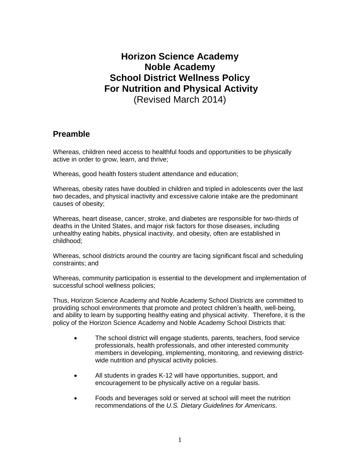# **Horizon Science Academy Noble Academy School District Wellness Policy For Nutrition and Physical Activity** (Revised March 2014)

## **Preamble**

Whereas, children need access to healthful foods and opportunities to be physically active in order to grow, learn, and thrive;

Whereas, good health fosters student attendance and education;

Whereas, obesity rates have doubled in children and tripled in adolescents over the last two decades, and physical inactivity and excessive calorie intake are the predominant causes of obesity;

Whereas, heart disease, cancer, stroke, and diabetes are responsible for two-thirds of deaths in the United States, and major risk factors for those diseases, including unhealthy eating habits, physical inactivity, and obesity, often are established in childhood;

Whereas, school districts around the country are facing significant fiscal and scheduling constraints; and

Whereas, community participation is essential to the development and implementation of successful school wellness policies;

Thus, Horizon Science Academy and Noble Academy School Districts are committed to providing school environments that promote and protect children's health, well-being, and ability to learn by supporting healthy eating and physical activity. Therefore, it is the policy of the Horizon Science Academy and Noble Academy School Districts that:

- The school district will engage students, parents, teachers, food service professionals, health professionals, and other interested community members in developing, implementing, monitoring, and reviewing districtwide nutrition and physical activity policies.
- All students in grades K-12 will have opportunities, support, and encouragement to be physically active on a regular basis.
- Foods and beverages sold or served at school will meet the nutrition recommendations of the *U.S. Dietary Guidelines for Americans*.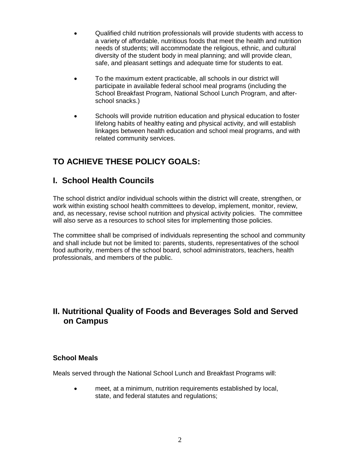- Qualified child nutrition professionals will provide students with access to a variety of affordable, nutritious foods that meet the health and nutrition needs of students; will accommodate the religious, ethnic, and cultural diversity of the student body in meal planning; and will provide clean, safe, and pleasant settings and adequate time for students to eat.
- To the maximum extent practicable, all schools in our district will participate in available federal school meal programs (including the School Breakfast Program, National School Lunch Program, and afterschool snacks.)
- Schools will provide nutrition education and physical education to foster lifelong habits of healthy eating and physical activity, and will establish linkages between health education and school meal programs, and with related community services.

## **TO ACHIEVE THESE POLICY GOALS:**

## **I. School Health Councils**

The school district and/or individual schools within the district will create, strengthen, or work within existing school health committees to develop, implement, monitor, review, and, as necessary, revise school nutrition and physical activity policies. The committee will also serve as a resources to school sites for implementing those policies.

The committee shall be comprised of individuals representing the school and community and shall include but not be limited to: parents, students, representatives of the school food authority, members of the school board, school administrators, teachers, health professionals, and members of the public.

## **II. Nutritional Quality of Foods and Beverages Sold and Served on Campus**

## **School Meals**

Meals served through the National School Lunch and Breakfast Programs will:

 meet, at a minimum, nutrition requirements established by local, state, and federal statutes and regulations;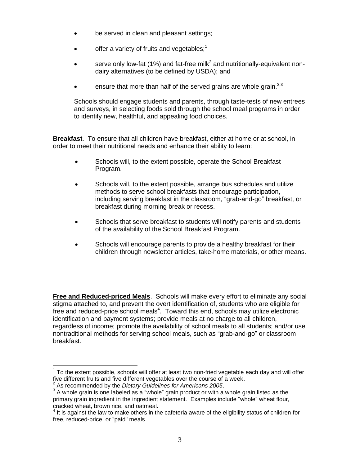- be served in clean and pleasant settings;
- $\bullet$  offer a variety of fruits and vegetables;<sup>1</sup>
- serve only low-fat (1%) and fat-free milk<sup>2</sup> and nutritionally-equivalent nondairy alternatives (to be defined by USDA); and
- **e** ensure that more than half of the served grains are whole grain.<sup>3,3</sup>

Schools should engage students and parents, through taste-tests of new entrees and surveys, in selecting foods sold through the school meal programs in order to identify new, healthful, and appealing food choices.

**Breakfast**. To ensure that all children have breakfast, either at home or at school, in order to meet their nutritional needs and enhance their ability to learn:

- Schools will, to the extent possible, operate the School Breakfast Program.
- Schools will, to the extent possible, arrange bus schedules and utilize methods to serve school breakfasts that encourage participation, including serving breakfast in the classroom, "grab-and-go" breakfast, or breakfast during morning break or recess.
- Schools that serve breakfast to students will notify parents and students of the availability of the School Breakfast Program.
- Schools will encourage parents to provide a healthy breakfast for their children through newsletter articles, take-home materials, or other means.

**Free and Reduced-priced Meals**. Schools will make every effort to eliminate any social stigma attached to, and prevent the overt identification of, students who are eligible for free and reduced-price school meals<sup>4</sup>. Toward this end, schools may utilize electronic identification and payment systems; provide meals at no charge to all children, regardless of income; promote the availability of school meals to all students; and/or use nontraditional methods for serving school meals, such as "grab-and-go" or classroom breakfast.

 $\overline{a}$ 

 $1$  To the extent possible, schools will offer at least two non-fried vegetable each day and will offer five different fruits and five different vegetables over the course of a week.

<sup>2</sup> As recommended by the *Dietary Guidelines for Americans 2005*.

 $3$  A whole grain is one labeled as a "whole" grain product or with a whole grain listed as the primary grain ingredient in the ingredient statement. Examples include "whole" wheat flour, cracked wheat, brown rice, and oatmeal.<br><sup>4</sup> It is against the law to make others in the cafeteria aware of the eligibility status of children for

free, reduced-price, or "paid" meals.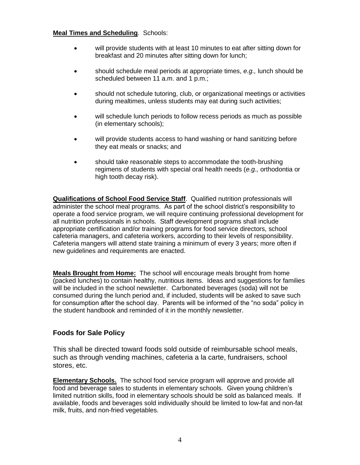#### **Meal Times and Scheduling**. Schools:

- will provide students with at least 10 minutes to eat after sitting down for breakfast and 20 minutes after sitting down for lunch;
- should schedule meal periods at appropriate times, *e.g.,* lunch should be scheduled between 11 a.m. and 1 p.m.:
- should not schedule tutoring, club, or organizational meetings or activities during mealtimes, unless students may eat during such activities;
- will schedule lunch periods to follow recess periods as much as possible (in elementary schools);
- will provide students access to hand washing or hand sanitizing before they eat meals or snacks; and
- should take reasonable steps to accommodate the tooth-brushing regimens of students with special oral health needs (*e.g.,* orthodontia or high tooth decay risk).

**Qualifications of School Food Service Staff**. Qualified nutrition professionals will administer the school meal programs. As part of the school district's responsibility to operate a food service program, we will require continuing professional development for all nutrition professionals in schools. Staff development programs shall include appropriate certification and/or training programs for food service directors, school cafeteria managers, and cafeteria workers, according to their levels of responsibility. Cafeteria mangers will attend state training a minimum of every 3 years; more often if new guidelines and requirements are enacted.

**Meals Brought from Home:** The school will encourage meals brought from home (packed lunches) to contain healthy, nutritious items. Ideas and suggestions for families will be included in the school newsletter. Carbonated beverages (soda) will not be consumed during the lunch period and, if included, students will be asked to save such for consumption after the school day. Parents will be informed of the "no soda" policy in the student handbook and reminded of it in the monthly newsletter.

## **Foods for Sale Policy**

This shall be directed toward foods sold outside of reimbursable school meals, such as through vending machines, cafeteria a la carte, fundraisers, school stores, etc.

**Elementary Schools.** The school food service program will approve and provide all food and beverage sales to students in elementary schools. Given young children's limited nutrition skills, food in elementary schools should be sold as balanced meals. If available, foods and beverages sold individually should be limited to low-fat and non-fat milk, fruits, and non-fried vegetables.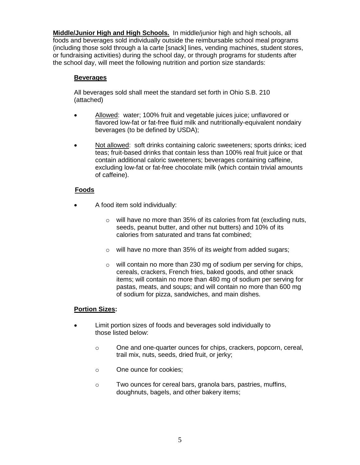**Middle/Junior High and High Schools.** In middle/junior high and high schools, all foods and beverages sold individually outside the reimbursable school meal programs (including those sold through a la carte [snack] lines, vending machines, student stores, or fundraising activities) during the school day, or through programs for students after the school day, will meet the following nutrition and portion size standards:

#### **Beverages**

All beverages sold shall meet the standard set forth in Ohio S.B. 210 (attached)

- Allowed: water; 100% fruit and vegetable juices juice; unflavored or flavored low-fat or fat-free fluid milk and nutritionally-equivalent nondairy beverages (to be defined by USDA);
- Not allowed: soft drinks containing caloric sweeteners; sports drinks; iced teas; fruit-based drinks that contain less than 100% real fruit juice or that contain additional caloric sweeteners; beverages containing caffeine, excluding low-fat or fat-free chocolate milk (which contain trivial amounts of caffeine).

## **Foods**

- A food item sold individually:
	- o will have no more than 35% of its calories from fat (excluding nuts, seeds, peanut butter, and other nut butters) and 10% of its calories from saturated and trans fat combined;
	- o will have no more than 35% of its *weight* from added sugars;
	- o will contain no more than 230 mg of sodium per serving for chips, cereals, crackers, French fries, baked goods, and other snack items; will contain no more than 480 mg of sodium per serving for pastas, meats, and soups; and will contain no more than 600 mg of sodium for pizza, sandwiches, and main dishes.

#### **Portion Sizes:**

- Limit portion sizes of foods and beverages sold individually to those listed below:
	- o One and one-quarter ounces for chips, crackers, popcorn, cereal, trail mix, nuts, seeds, dried fruit, or jerky;
	- o One ounce for cookies;
	- o Two ounces for cereal bars, granola bars, pastries, muffins, doughnuts, bagels, and other bakery items;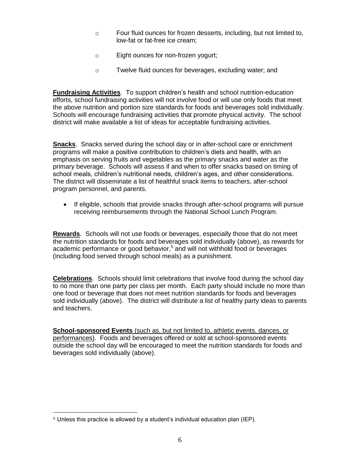- o Four fluid ounces for frozen desserts, including, but not limited to, low-fat or fat-free ice cream;
- o Eight ounces for non-frozen yogurt;
- o Twelve fluid ounces for beverages, excluding water; and

**Fundraising Activities**. To support children's health and school nutrition-education efforts, school fundraising activities will not involve food or will use only foods that meet the above nutrition and portion size standards for foods and beverages sold individually. Schools will encourage fundraising activities that promote physical activity. The school district will make available a list of ideas for acceptable fundraising activities.

**Snacks**. Snacks served during the school day or in after-school care or enrichment programs will make a positive contribution to children's diets and health, with an emphasis on serving fruits and vegetables as the primary snacks and water as the primary beverage. Schools will assess if and when to offer snacks based on timing of school meals, children's nutritional needs, children's ages, and other considerations. The district will disseminate a list of healthful snack items to teachers, after-school program personnel, and parents.

 If eligible, schools that provide snacks through after-school programs will pursue receiving reimbursements through the National School Lunch Program.

**Rewards**. Schools will not use foods or beverages, especially those that do not meet the nutrition standards for foods and beverages sold individually (above), as rewards for academic performance or good behavior,<sup>5</sup> and will not withhold food or beverages (including food served through school meals) as a punishment.

**Celebrations**. Schools should limit celebrations that involve food during the school day to no more than one party per class per month. Each party should include no more than one food or beverage that does not meet nutrition standards for foods and beverages sold individually (above). The district will distribute a list of healthy party ideas to parents and teachers.

**School-sponsored Events** (such as, but not limited to, athletic events, dances, or performances).Foods and beverages offered or sold at school-sponsored events outside the school day will be encouraged to meet the nutrition standards for foods and beverages sold individually (above).

 $\overline{a}$ 

<sup>5</sup> Unless this practice is allowed by a student's individual education plan (IEP).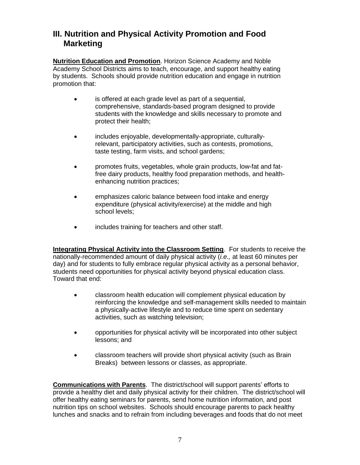## **III. Nutrition and Physical Activity Promotion and Food Marketing**

**Nutrition Education and Promotion**. Horizon Science Academy and Noble Academy School Districts aims to teach, encourage, and support healthy eating by students. Schools should provide nutrition education and engage in nutrition promotion that:

- is offered at each grade level as part of a sequential, comprehensive, standards-based program designed to provide students with the knowledge and skills necessary to promote and protect their health;
- includes enjoyable, developmentally-appropriate, culturallyrelevant, participatory activities, such as contests, promotions, taste testing, farm visits, and school gardens;
- promotes fruits, vegetables, whole grain products, low-fat and fatfree dairy products, healthy food preparation methods, and healthenhancing nutrition practices;
- emphasizes caloric balance between food intake and energy expenditure (physical activity/exercise) at the middle and high school levels;
- includes training for teachers and other staff.

**Integrating Physical Activity into the Classroom Setting**. For students to receive the nationally-recommended amount of daily physical activity (*i.e.,* at least 60 minutes per day) and for students to fully embrace regular physical activity as a personal behavior, students need opportunities for physical activity beyond physical education class. Toward that end:

- classroom health education will complement physical education by reinforcing the knowledge and self-management skills needed to maintain a physically-active lifestyle and to reduce time spent on sedentary activities, such as watching television;
- opportunities for physical activity will be incorporated into other subject lessons; and
- classroom teachers will provide short physical activity (such as Brain Breaks) between lessons or classes, as appropriate.

**Communications with Parents**. The district/school will support parents' efforts to provide a healthy diet and daily physical activity for their children. The district/school will offer healthy eating seminars for parents, send home nutrition information, and post nutrition tips on school websites. Schools should encourage parents to pack healthy lunches and snacks and to refrain from including beverages and foods that do not meet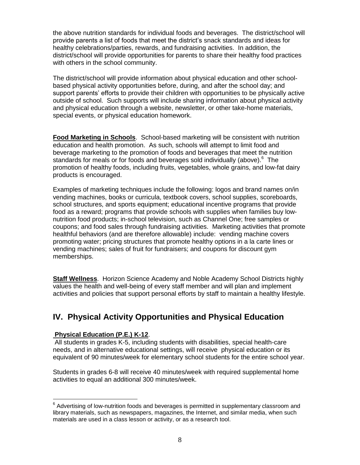the above nutrition standards for individual foods and beverages. The district/school will provide parents a list of foods that meet the district's snack standards and ideas for healthy celebrations/parties, rewards, and fundraising activities. In addition, the district/school will provide opportunities for parents to share their healthy food practices with others in the school community.

The district/school will provide information about physical education and other schoolbased physical activity opportunities before, during, and after the school day; and support parents' efforts to provide their children with opportunities to be physically active outside of school. Such supports will include sharing information about physical activity and physical education through a website, newsletter, or other take-home materials, special events, or physical education homework.

**Food Marketing in Schools**.School-based marketing will be consistent with nutrition education and health promotion. As such, schools will attempt to limit food and beverage marketing to the promotion of foods and beverages that meet the nutrition standards for meals or for foods and beverages sold individually (above).<sup>6</sup> The promotion of healthy foods, including fruits, vegetables, whole grains, and low-fat dairy products is encouraged.

Examples of marketing techniques include the following: logos and brand names on/in vending machines, books or curricula, textbook covers, school supplies, scoreboards, school structures, and sports equipment; educational incentive programs that provide food as a reward; programs that provide schools with supplies when families buy lownutrition food products; in-school television, such as Channel One; free samples or coupons; and food sales through fundraising activities. Marketing activities that promote healthful behaviors (and are therefore allowable) include: vending machine covers promoting water; pricing structures that promote healthy options in a la carte lines or vending machines; sales of fruit for fundraisers; and coupons for discount gym memberships.

**Staff Wellness**. Horizon Science Academy and Noble Academy School Districts highly values the health and well-being of every staff member and will plan and implement activities and policies that support personal efforts by staff to maintain a healthy lifestyle.

## **IV. Physical Activity Opportunities and Physical Education**

#### **Physical Education (P.E.) K-12**.

 $\overline{a}$ 

All students in grades K-5, including students with disabilities, special health-care needs, and in alternative educational settings, will receive physical education or its equivalent of 90 minutes/week for elementary school students for the entire school year.

Students in grades 6-8 will receive 40 minutes/week with required supplemental home activities to equal an additional 300 minutes/week.

 $6$  Advertising of low-nutrition foods and beverages is permitted in supplementary classroom and library materials, such as newspapers, magazines, the Internet, and similar media, when such materials are used in a class lesson or activity, or as a research tool.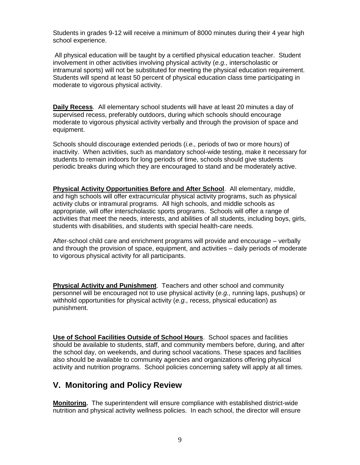Students in grades 9-12 will receive a minimum of 8000 minutes during their 4 year high school experience.

All physical education will be taught by a certified physical education teacher. Student involvement in other activities involving physical activity (*e.g.,* interscholastic or intramural sports) will not be substituted for meeting the physical education requirement. Students will spend at least 50 percent of physical education class time participating in moderate to vigorous physical activity.

**Daily Recess**. All elementary school students will have at least 20 minutes a day of supervised recess, preferably outdoors, during which schools should encourage moderate to vigorous physical activity verbally and through the provision of space and equipment.

Schools should discourage extended periods (*i.e.,* periods of two or more hours) of inactivity. When activities, such as mandatory school-wide testing, make it necessary for students to remain indoors for long periods of time, schools should give students periodic breaks during which they are encouraged to stand and be moderately active.

**Physical Activity Opportunities Before and After School**. All elementary, middle, and high schools will offer extracurricular physical activity programs, such as physical activity clubs or intramural programs. All high schools, and middle schools as appropriate, will offer interscholastic sports programs. Schools will offer a range of activities that meet the needs, interests, and abilities of all students, including boys, girls, students with disabilities, and students with special health-care needs.

After-school child care and enrichment programs will provide and encourage – verbally and through the provision of space, equipment, and activities – daily periods of moderate to vigorous physical activity for all participants.

**Physical Activity and Punishment**. Teachers and other school and community personnel will be encouraged not to use physical activity (*e.g.,* running laps, pushups) or withhold opportunities for physical activity (*e.g.,* recess, physical education) as punishment.

**Use of School Facilities Outside of School Hours**. School spaces and facilities should be available to students, staff, and community members before, during, and after the school day, on weekends, and during school vacations. These spaces and facilities also should be available to community agencies and organizations offering physical activity and nutrition programs. School policies concerning safety will apply at all times.

## **V. Monitoring and Policy Review**

**Monitoring.** The superintendent will ensure compliance with established district-wide nutrition and physical activity wellness policies. In each school, the director will ensure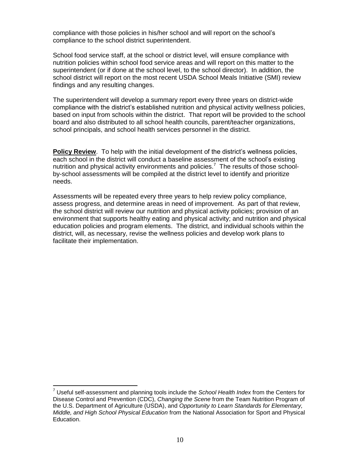compliance with those policies in his/her school and will report on the school's compliance to the school district superintendent.

School food service staff, at the school or district level, will ensure compliance with nutrition policies within school food service areas and will report on this matter to the superintendent (or if done at the school level, to the school director). In addition, the school district will report on the most recent USDA School Meals Initiative (SMI) review findings and any resulting changes.

The superintendent will develop a summary report every three years on district-wide compliance with the district's established nutrition and physical activity wellness policies, based on input from schools within the district. That report will be provided to the school board and also distributed to all school health councils, parent/teacher organizations, school principals, and school health services personnel in the district.

**Policy Review**. To help with the initial development of the district's wellness policies, each school in the district will conduct a baseline assessment of the school's existing nutrition and physical activity environments and policies.<sup>7</sup> The results of those schoolby-school assessments will be compiled at the district level to identify and prioritize needs.

Assessments will be repeated every three years to help review policy compliance, assess progress, and determine areas in need of improvement. As part of that review, the school district will review our nutrition and physical activity policies; provision of an environment that supports healthy eating and physical activity; and nutrition and physical education policies and program elements. The district, and individual schools within the district, will, as necessary, revise the wellness policies and develop work plans to facilitate their implementation.

 $\overline{a}$ 

<sup>7</sup> Useful self-assessment and planning tools include the *School Health Index* from the Centers for Disease Control and Prevention (CDC), *Changing the Scene* from the Team Nutrition Program of the U.S. Department of Agriculture (USDA), and *Opportunity to Learn Standards for Elementary, Middle, and High School Physical Education* from the National Association for Sport and Physical Education.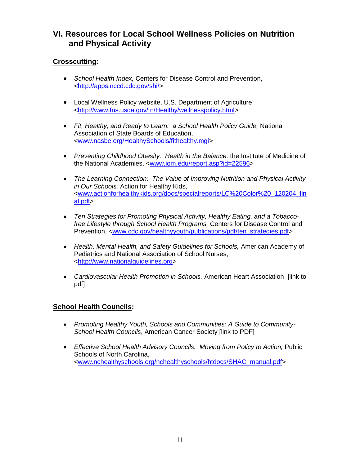## **VI. Resources for Local School Wellness Policies on Nutrition and Physical Activity**

## **Crosscutting:**

- *School Health Index,* Centers for Disease Control and Prevention, [<http://apps.nccd.cdc.gov/shi/>](http://apps.nccd.cdc.gov/shi/)
- Local Wellness Policy website, U.S. Department of Agriculture, [<http://www.fns.usda.gov/tn/Healthy/wellnesspolicy.html>](http://www.fns.usda.gov/tn/Healthy/wellnesspolicy.html)
- *Fit, Healthy, and Ready to Learn: a School Health Policy Guide,* National Association of State Boards of Education, [<www.nasbe.org/HealthySchools/fithealthy.mgi>](http://www.nasbe.org/HealthySchools/fithealthy.mgi)
- *Preventing Childhood Obesity: Health in the Balance,* the Institute of Medicine of the National Academies, [<www.iom.edu/report.asp?id=22596>](http://www.iom.edu/report.asp?id=22596)
- *The Learning Connection: The Value of Improving Nutrition and Physical Activity in Our Schools,* Action for Healthy Kids, [<www.actionforhealthykids.org/docs/specialreports/LC%20Color%20\\_120204\\_fin](http://www.actionforhealthykids.org/docs/specialreports/LC%20Color%20_120204_final.pdf) [al.pdf>](http://www.actionforhealthykids.org/docs/specialreports/LC%20Color%20_120204_final.pdf)
- *Ten Strategies for Promoting Physical Activity, Healthy Eating, and a Tobaccofree Lifestyle through School Health Programs,* Centers for Disease Control and Prevention, [<www.cdc.gov/healthyyouth/publications/pdf/ten\\_strategies.pdf>](http://www.cdc.gov/healthyyouth/publications/pdf/ten_strategies.pdf)
- *Health, Mental Health, and Safety Guidelines for Schools,* American Academy of Pediatrics and National Association of School Nurses, [<http://www.nationalguidelines.org>](http://www.nationalguidelines.org/)
- *Cardiovascular Health Promotion in Schools,* American Heart Association [link to pdf]

## **School Health Councils:**

- *Promoting Healthy Youth, Schools and Communities: A Guide to Community-School Health Councils*, American Cancer Society [link to PDF]
- Effective School Health Advisory Councils: Moving from Policy to Action, Public Schools of North Carolina, [<www.nchealthyschools.org/nchealthyschools/htdocs/SHAC\\_manual.pdf>](http://www.nchealthyschools.org/nchealthyschools/htdocs/SHAC_manual.pdf)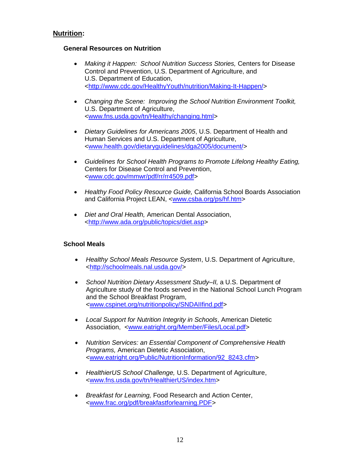## **Nutrition:**

#### **General Resources on Nutrition**

- *Making it Happen: School Nutrition Success Stories,* Centers for Disease Control and Prevention, U.S. Department of Agriculture, and U.S. Department of Education, [<http://www.cdc.gov/HealthyYouth/nutrition/Making-It-Happen/>](http://www.cdc.gov/HealthyYouth/nutrition/Making-It-Happen/)
- *Changing the Scene: Improving the School Nutrition Environment Toolkit,* U.S. Department of Agriculture, [<www.fns.usda.gov/tn/Healthy/changing.html>](http://www.fns.usda.gov/tn/Healthy/changing.html)
- *Dietary Guidelines for Americans 2005*, U.S. Department of Health and Human Services and U.S. Department of Agriculture, [<www.health.gov/dietaryguidelines/dga2005/document/>](http://www.health.gov/dietaryguidelines/dga2005/document/)
- *Guidelines for School Health Programs to Promote Lifelong Healthy Eating,* Centers for Disease Control and Prevention, [<www.cdc.gov/mmwr/pdf/rr/rr4509.pdf>](http://www.cdc.gov/mmwr/pdf/rr/rr4509.pdf)
- *Healthy Food Policy Resource Guide,* California School Boards Association and California Project LEAN, [<www.csba.org/ps/hf.htm>](http://www.csba.org/ps/hf.htm)
- *Diet and Oral Health,* American Dental Association, [<http://www.ada.org/public/topics/diet.asp>](http://www.ada.org/public/topics/diet.asp)

#### **School Meals**

- *Healthy School Meals Resource System*, U.S. Department of Agriculture, [<http://schoolmeals.nal.usda.gov/>](http://schoolmeals.nal.usda.gov/)
- *[School Nutrition Dietary Assessment Study–II,](http://www.cspinet.org/nutritionpolicy/SNDAIIfind.pdf)* a U.S. Department of Agriculture study of the foods served in the National School Lunch Program and the School Breakfast Program, [<www.cspinet.org/nutritionpolicy/SNDAIIfind.pdf>](http://www.cspinet.org/nutritionpolicy/SNDAIIfind.pdf)
- *Local Support for Nutrition Integrity in Schools*, American Dietetic Association, [<www.eatright.org/Member/Files/Local.pdf>](http://www.eatright.org/Member/Files/Local.pdf)
- *Nutrition Services: an Essential Component of Comprehensive Health Programs,* American Dietetic Association, [<www.eatright.org/Public/NutritionInformation/92\\_8243.cfm>](http://www.eatright.org/Public/NutritionInformation/92_8243.cfm)
- *HealthierUS School Challenge,* U.S. Department of Agriculture, [<www.fns.usda.gov/tn/HealthierUS/index.htm>](http://www.fns.usda.gov/tn/HealthierUS/index.htm)
- *Breakfast for Learning,* Food Research and Action Center, [<www.frac.org/pdf/breakfastforlearning.PDF>](http://www.frac.org/pdf/breakfastforlearning.PDF)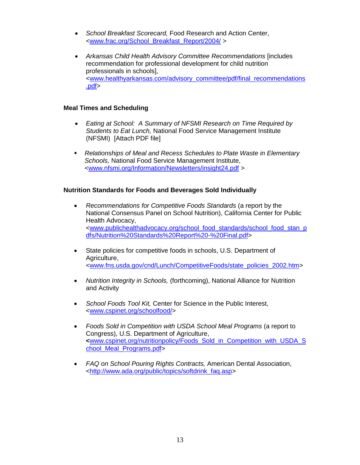- *School Breakfast Scorecard,* Food Research and Action Center, [<www.frac.org/School\\_Breakfast\\_Report/2004/](http://www.frac.org/School_Breakfast_Report/2004/) >
- *Arkansas Child Health Advisory Committee Recommendations* [includes recommendation for professional development for child nutrition professionals in schools], [<www.healthyarkansas.com/advisory\\_committee/pdf/final\\_recommendations](http://www.healthyarkansas.com/advisory_committee/pdf/final_recommendations.pdf) [.pdf>](http://www.healthyarkansas.com/advisory_committee/pdf/final_recommendations.pdf)

#### **Meal Times and Scheduling**

- *Eating at School: A Summary of NFSMI Research on Time Required by Students to Eat Lunch,* National Food Service Management Institute (NFSMI) [Attach PDF file]
- *Relationships of Meal and Recess Schedules to Plate Waste in Elementary Schools,* National Food Service Management Institute, [<www.nfsmi.org/Information/Newsletters/insight24.pdf](http://www.nfsmi.org/Information/Newsletters/insight24.pdf) >

### **Nutrition Standards for Foods and Beverages Sold Individually**

- *Recommendations for Competitive Foods Standards* (a report by the National Consensus Panel on School Nutrition), California Center for Public Health Advocacy, [<www.publichealthadvocacy.org/school\\_food\\_standards/school\\_food\\_stan\\_p](http://www.publichealthadvocacy.org/school_food_standards/school_food_stan_pdfs/Nutrition%20Standards%20Report%20-%20Final.pdf) [dfs/Nutrition%20Standards%20Report%20-%20Final.pdf>](http://www.publichealthadvocacy.org/school_food_standards/school_food_stan_pdfs/Nutrition%20Standards%20Report%20-%20Final.pdf)
- State policies for competitive foods in schools, U.S. Department of Agriculture, [<www.fns.usda.gov/cnd/Lunch/CompetitiveFoods/state\\_policies\\_2002.htm>](http://www.fns.usda.gov/cnd/Lunch/CompetitiveFoods/state_policies_2002.htm)
- *Nutrition Integrity in Schools,* (forthcoming), National Alliance for Nutrition and Activity
- *School Foods Tool Kit,* Center for Science in the Public Interest, [<www.cspinet.org/schoolfood/>](http://www.cspinet.org/schoolfood/)
- *[Foods Sold in Competition with USDA School Meal Programs](http://www.cspinet.org/nutritionpolicy/Foods_Sold_in_Competition_with_USDA_School_Meal_Programs.pdf)* (a report to Congress), U.S. Department of Agriculture, **<**[www.cspinet.org/nutritionpolicy/Foods\\_Sold\\_in\\_Competition\\_with\\_USDA\\_S](http://www.cspinet.org/nutritionpolicy/Foods_Sold_in_Competition_with_USDA_School_Meal_Programs.pdf) chool Meal Programs.pdf>
- *FAQ on School Pouring Rights Contracts,* American Dental Association, [<http://www.ada.org/public/topics/softdrink\\_faq.asp>](http://www.ada.org/public/topics/softdrink_faq.asp)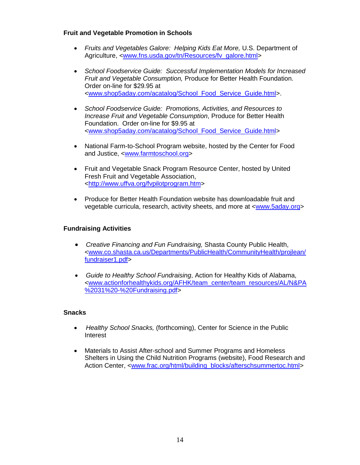#### **Fruit and Vegetable Promotion in Schools**

- *Fruits and Vegetables Galore: Helping Kids Eat More,* U.S. Department of Agriculture, *<*[www.fns.usda.gov/tn/Resources/fv\\_galore.html>](http://www.fns.usda.gov/tn/Resources/fv_galore.html)
- *School Foodservice Guide: Successful Implementation Models for Increased Fruit and Vegetable Consumption,* Produce for Better Health Foundation. Order on-line for \$29.95 at [<www.shop5aday.com/acatalog/School\\_Food\\_Service\\_Guide.html>](http://www.shop5aday.com/acatalog/School_Food_Service_Fuide.html).
- *School Foodservice Guide: Promotions, Activities, and Resources to Increase Fruit and Vegetable Consumption*, Produce for Better Health Foundation. Order on-line for \$9.95 at [<www.shop5aday.com/acatalog/School\\_Food\\_Service\\_Guide.html>](http://www.shop5aday.com/acatalog/School_Food_Service_Guide.html)
- National Farm-to-School Program website, hosted by the Center for Food and Justice, [<www.farmtoschool.org>](http://www.farmtoschool.org/)
- Fruit and Vegetable Snack Program Resource Center, hosted by United Fresh Fruit and Vegetable Association, [<http://www.uffva.org/fvpilotprogram.htm>](http://www.uffva.org/fvpilotprogram.htm)
- Produce for Better Health Foundation website has downloadable fruit and vegetable curricula, research, activity sheets, and more at [<www.5aday.org>](http://www.5aday.org/)

#### **Fundraising Activities**

- *Creative Financing and Fun Fundraising,* Shasta County Public Health, [<www.co.shasta.ca.us/Departments/PublicHealth/CommunityHealth/projlean/](http://www.co.shasta.ca.us/Departments/PublicHealth/CommunityHealth/projlean/fundraiser1.pdf) [fundraiser1.pdf>](http://www.co.shasta.ca.us/Departments/PublicHealth/CommunityHealth/projlean/fundraiser1.pdf)
- *Guide to Healthy School Fundraising*, Action for Healthy Kids of Alabama, [<www.actionforhealthykids.org/AFHK/team\\_center/team\\_resources/AL/N&PA](http://www.actionforhealthykids.org/AFHK/team_center/team_resources/AL/N&PA%2031%20-%20Fundraising.pdf) [%2031%20-%20Fundraising.pdf>](http://www.actionforhealthykids.org/AFHK/team_center/team_resources/AL/N&PA%2031%20-%20Fundraising.pdf)

#### **Snacks**

- *Healthy School Snacks,* (forthcoming), Center for Science in the Public Interest
- Materials to Assist After-school and Summer Programs and Homeless Shelters in Using the Child Nutrition Programs (website), Food Research and Action Center, [<www.frac.org/html/building\\_blocks/afterschsummertoc.html>](http://www.frac.org/html/building_blocks/afterschsummertoc.html)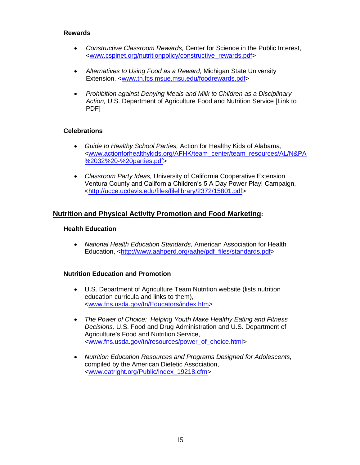#### **Rewards**

- *Constructive Classroom Rewards,* Center for Science in the Public Interest, [<www.cspinet.org/nutritionpolicy/constructive\\_rewards.pdf>](http://www.cspinet.org/nutritionpolicy/constructive_rewards.pdf)
- *Alternatives to Using Food as a Reward,* Michigan State University Extension, [<www.tn.fcs.msue.msu.edu/foodrewards.pdf>](http://www.tn.fcs.msue.msu.edu/foodrewards.pdf)
- *Prohibition against Denying Meals and Milk to Children as a Disciplinary Action,* U.S. Department of Agriculture Food and Nutrition Service [Link to PDF]

### **Celebrations**

- *Guide to Healthy School Parties,* Action for Healthy Kids of Alabama, [<www.actionforhealthykids.org/AFHK/team\\_center/team\\_resources/AL/N&PA](http://www.actionforhealthykids.org/AFHK/team_center/team_resources/AL/N&PA%2032%20-%20parties.pdf) [%2032%20-%20parties.pdf>](http://www.actionforhealthykids.org/AFHK/team_center/team_resources/AL/N&PA%2032%20-%20parties.pdf)
- *Classroom Party Ideas,* University of California Cooperative Extension Ventura County and California Children's 5 A Day Power Play! Campaign, [<http://ucce.ucdavis.edu/files/filelibrary/2372/15801.pdf>](http://ucce.ucdavis.edu/files/filelibrary/2372/15801.pdf)

### **Nutrition and Physical Activity Promotion and Food Marketing:**

#### **Health Education**

 *National Health Education Standards,* American Association for Health Education, [<http://www.aahperd.org/aahe/pdf\\_files/standards.pdf>](http://www.aahperd.org/aahe/pdf_files/standards.pdf)

#### **Nutrition Education and Promotion**

- U.S. Department of Agriculture Team Nutrition website (lists nutrition education curricula and links to them), [<www.fns.usda.gov/tn/Educators/index.htm>](http://www.fns.usda.gov/tn/Educators/index.htm)
- *The Power of Choice: Helping Youth Make Healthy Eating and Fitness Decisions,* U.S. Food and Drug Administration and U.S. Department of Agriculture's Food and Nutrition Service, [<www.fns.usda.gov/tn/resources/power\\_of\\_choice.html>](http://www.fns.usda.gov/tn/resources/power_of_choice.html)
- *Nutrition Education Resources and Programs Designed for Adolescents,* compiled by the American Dietetic Association, [<www.eatright.org/Public/index\\_19218.cfm>](http://www.eatright.org/Public/index_19218.cfm)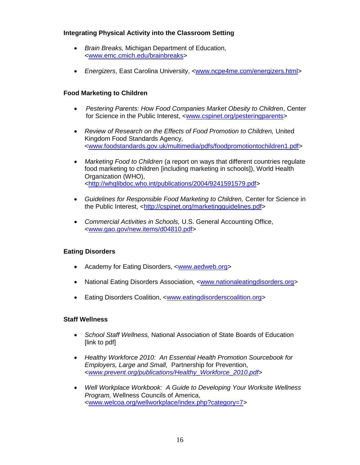### **Integrating Physical Activity into the Classroom Setting**

- *Brain Breaks,* Michigan Department of Education, [<www.emc.cmich.edu/brainbreaks>](http://www.emc.cmichedu/brainbreaks)
- *Energizers*, East Carolina University, [<www.ncpe4me.com/energizers.html>](http://www.ncpe4me.com/energizers.html)

### **Food Marketing to Children**

- *Pestering Parents: How Food Companies Market Obesity to Children*, Center for Science in the Public Interest, [<www.cspinet.org/pesteringparents>](http://www.cspinet.org/pesteringparents)
- *Review of Research on the Effects of Food Promotion to Children,* United Kingdom Food Standards Agency, [<www.foodstandards.gov.uk/multimedia/pdfs/foodpromotiontochildren1.pdf>](http://www.foodstandards.gov.uk/multimedia/pdfs/foodpromotiontochildren1.pdf)
- *Marketing Food to Children* (a report on ways that different countries regulate food marketing to children [including marketing in schools]), World Health Organization (WHO), [<http://whqlibdoc.who.int/publications/2004/9241591579.pdf>](http://whqlibdoc.who.int/publications/2004/9241591579.pdf)
- *Guidelines for Responsible Food Marketing to Children,* Center for Science in the Public Interest, [<http://cspinet.org/marketingguidelines.pdf>](http://cspinet.org/marketingguidelines.pdf)
- *Commercial Activities in Schools,* U.S. General Accounting Office, [<www.gao.gov/new.items/d04810.pdf>](http://www.gao.gov/new.items/d04810.pdf)

## **Eating Disorders**

- Academy for Eating Disorders, [<www.aedweb.org>](http://www.aedweb.org/)
- National Eating Disorders Association, [<www.nationaleatingdisorders.org>](http://www.nationaleatingdisorders.org/)
- Eating Disorders Coalition, [<www.eatingdisorderscoalition.org>](http://www.eatingdisorderscoalition.org/)

#### **Staff Wellness**

- *School Staff Wellness,* National Association of State Boards of Education [link to pdf]
- *Healthy Workforce 2010: An Essential Health Promotion Sourcebook for Employers, Large and Small,* Partnership for Prevention, <*[www.prevent.org/publications/Healthy\\_Workforce\\_2010.pdf](http://www.prevent.org/publications/Healthy_Workforce_2010.pdf)*>
- *Well Workplace Workbook: A Guide to Developing Your Worksite Wellness Program,* Wellness Councils of America, [<www.welcoa.org/wellworkplace/index.php?category=7>](http://www.welcoa.org/wellworkplace/index.php?category=7)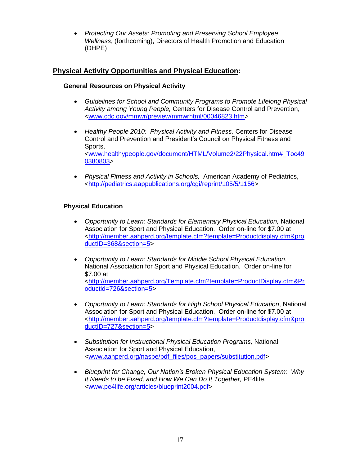*Protecting Our Assets: Promoting and Preserving School Employee Wellness*, (forthcoming), Directors of Health Promotion and Education (DHPE)

## **Physical Activity Opportunities and Physical Education:**

### **General Resources on Physical Activity**

- *Guidelines for School and Community Programs to Promote Lifelong Physical Activity among Young People,* Centers for Disease Control and Prevention, [<www.cdc.gov/mmwr/preview/mmwrhtml/00046823.htm>](http://www.cdc.gov/mmwr/preview/mmwrhtml/00046823.htm)
- *Healthy People 2010: Physical Activity and Fitness,* Centers for Disease Control and Prevention and President's Council on Physical Fitness and Sports, [<www.healthypeople.gov/document/HTML/Volume2/22Physical.htm#\\_Toc49](http://www.healthypeople.gov/document/HTML/Volume2/22Physical.htm#_Toc490380803) [0380803>](http://www.healthypeople.gov/document/HTML/Volume2/22Physical.htm#_Toc490380803)
- *Physical Fitness and Activity in Schools,* American Academy of Pediatrics, [<http://pediatrics.aappublications.org/cgi/reprint/105/5/1156>](http://pediatrics.aappublications.org/cgi/reprint/105/5/1156)

### **Physical Education**

- *Opportunity to Learn: Standards for Elementary Physical Education,* National Association for Sport and Physical Education. Order on-line for \$7.00 at [<http://member.aahperd.org/template.cfm?template=Productdisplay.cfm&pro](http://member.aahperd.org/template.cfm?template=Productdisplay.cfm&productID=368§ion=5) [ductID=368&section=5>](http://member.aahperd.org/template.cfm?template=Productdisplay.cfm&productID=368§ion=5)
- *Opportunity to Learn: Standards for Middle School Physical Education*. National Association for Sport and Physical Education. Order on-line for \$7.00 at [<http://member.aahperd.org/Template.cfm?template=ProductDisplay.cfm&Pr](http://member.aahperd.org/Template.cfm?template=ProductDisplay.cfm&Productid=726§ion=5) [oductid=726&section=5>](http://member.aahperd.org/Template.cfm?template=ProductDisplay.cfm&Productid=726§ion=5)
- *Opportunity to Learn: Standards for High School Physical Education*, National Association for Sport and Physical Education. Order on-line for \$7.00 at [<http://member.aahperd.org/template.cfm?template=Productdisplay.cfm&pro](http://member.aahperd.org/template.cfm?template=Productdisplay.cfm&productID=727§ion=5) [ductID=727&section=5>](http://member.aahperd.org/template.cfm?template=Productdisplay.cfm&productID=727§ion=5)
- *Substitution for Instructional Physical Education Programs,* National Association for Sport and Physical Education, [<www.aahperd.org/naspe/pdf\\_files/pos\\_papers/substitution.pdf>](http://www.aahperd.org/naspe/pdf_files/pos_papers/substitution.pdf)
- *Blueprint for Change, Our Nation's Broken Physical Education System: Why It Needs to be Fixed, and How We Can Do It Together,* PE4life, [<www.pe4life.org/articles/blueprint2004.pdf>](http://www.pe4life.org/articles/blueprint2004.pdf)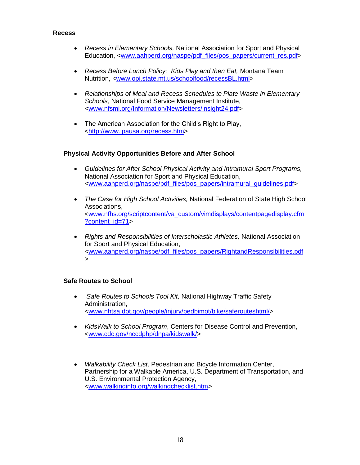#### **Recess**

- *Recess in Elementary Schools,* National Association for Sport and Physical Education, [<www.aahperd.org/naspe/pdf\\_files/pos\\_papers/current\\_res.pdf>](http://www.aahperd.org/naspe/pdf_files/pos_papers/current_res.pdf)
- *Recess Before Lunch Policy: Kids Play and then Eat,* Montana Team Nutrition, [<www.opi.state.mt.us/schoolfood/recessBL.html>](http://www.opi.state.mt.us/schoolfood/recessBL.html)
- *Relationships of Meal and Recess Schedules to Plate Waste in Elementary Schools,* National Food Service Management Institute, [<www.nfsmi.org/Information/Newsletters/insight24.pdf>](http://www.nfsmi.org/Information/Newsletters/insight24.pdf)
- The American Association for the Child's Right to Play. [<http://www.ipausa.org/recess.htm>](http://www.ipausa.org/recess.htm)

#### **Physical Activity Opportunities Before and After School**

- *Guidelines for After School Physical Activity and Intramural Sport Programs,* National Association for Sport and Physical Education, [<www.aahperd.org/naspe/pdf\\_files/pos\\_papers/intramural\\_guidelines.pdf>](http://www.aahperd.org/naspe/pdf_files/pos_papers/intramural_guidelines.pdf)
- *The Case for High School Activities,* National Federation of State High School Associations, [<www.nfhs.org/scriptcontent/va\\_custom/vimdisplays/contentpagedisplay.cfm](http://www.nfhs.org/scriptcontent/va_custom/vimdisplays/contentpagedisplay.cfm?content_id=71) [?content\\_id=71>](http://www.nfhs.org/scriptcontent/va_custom/vimdisplays/contentpagedisplay.cfm?content_id=71)
- *Rights and Responsibilities of Interscholastic Athletes,* National Association for Sport and Physical Education, [<www.aahperd.org/naspe/pdf\\_files/pos\\_papers/RightandResponsibilities.pdf](http://www.aahperd.org/naspe/pdf_files/pos_papers/RightandResponsibilities.pdf) >

#### **Safe Routes to School**

- *[Safe Routes to Schools Tool Kit,](http://www.nhtsa.dot.gov/people/injury/pedbimot/bike/saferouteshtml/)* National Highway Traffic Safety Administration, [<www.nhtsa.dot.gov/people/injury/pedbimot/bike/saferouteshtml/>](http://www.nhtsa.dot.gov/people/injury/pedbimot/bike/saferouteshtml/)
- *KidsWalk to School Program*, Centers for Disease Control and Prevention, [<www.cdc.gov/nccdphp/dnpa/kidswalk/>](http://www.cdc.gov/nccdphp/dnpa/kidswalk/)
- *Walkability Check List,* Pedestrian and Bicycle Information Center, Partnership for a Walkable America, U.S. Department of Transportation, and U.S. Environmental Protection Agency, [<www.walkinginfo.org/walkingchecklist.htm>](http://www.walkinginfo.org/walkingchecklist.htm)